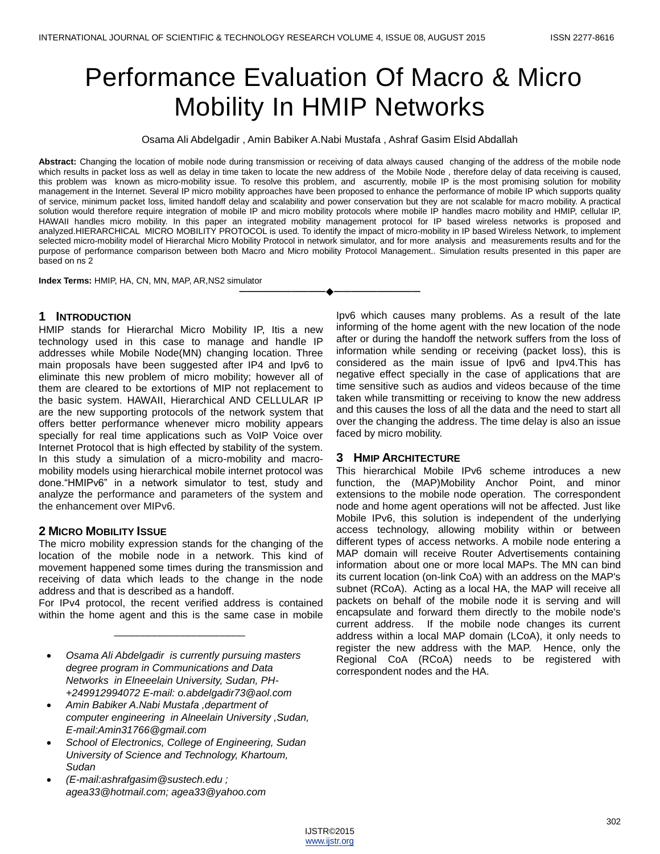# Performance Evaluation Of Macro & Micro Mobility In HMIP Networks

Osama Ali Abdelgadir , Amin Babiker A.Nabi Mustafa , Ashraf Gasim Elsid Abdallah

**Abstract:** Changing the location of mobile node during transmission or receiving of data always caused changing of the address of the mobile node which results in packet loss as well as delay in time taken to locate the new address of the Mobile Node , therefore delay of data receiving is caused, this problem was known as micro-mobility issue. To resolve this problem, and ascurrently, mobile IP is the most promising solution for mobility management in the Internet. Several IP micro mobility approaches have been proposed to enhance the performance of mobile IP which supports quality of service, minimum packet loss, limited handoff delay and scalability and power conservation but they are not scalable for macro mobility. A practical solution would therefore require integration of mobile IP and micro mobility protocols where mobile IP handles macro mobility and HMIP, cellular IP, HAWAII handles micro mobility. In this paper an integrated mobility management protocol for IP based wireless networks is proposed and analyzed.HIERARCHICAL MICRO MOBILITY PROTOCOL is used. To identify the impact of micro-mobility in IP based Wireless Network, to implement selected micro-mobility model of Hierarchal Micro Mobility Protocol in network simulator, and for more analysis and measurements results and for the purpose of performance comparison between both Macro and Micro mobility Protocol Management.. Simulation results presented in this paper are based on ns 2

**————————————————————**

**Index Terms:** HMIP, HA, CN, MN, MAP, AR,NS2 simulator

## **1 INTRODUCTION**

HMIP stands for Hierarchal Micro Mobility IP, Itis a new technology used in this case to manage and handle IP addresses while Mobile Node(MN) changing location. Three main proposals have been suggested after IP4 and Ipv6 to eliminate this new problem of micro mobility; however all of them are cleared to be extortions of MIP not replacement to the basic system. HAWAII, Hierarchical AND CELLULAR IP are the new supporting protocols of the network system that offers better performance whenever micro mobility appears specially for real time applications such as VoIP Voice over Internet Protocol that is high effected by stability of the system. In this study a simulation of a micro-mobility and macromobility models using hierarchical mobile internet protocol was done."HMIPv6" in a network simulator to test, study and analyze the performance and parameters of the system and the enhancement over MIPv6.

# **2 MICRO MOBILITY ISSUE**

The micro mobility expression stands for the changing of the location of the mobile node in a network. This kind of movement happened some times during the transmission and receiving of data which leads to the change in the node address and that is described as a handoff.

For IPv4 protocol, the recent verified address is contained within the home agent and this is the same case in mobile

\_\_\_\_\_\_\_\_\_\_\_\_\_\_\_\_\_\_\_\_\_\_\_

- *Osama Ali Abdelgadir is currently pursuing masters degree program in Communications and Data Networks in Elneeelain University, Sudan, PH- +249912994072 E-mail: o.abdelgadir73@aol.com*
- *Amin Babiker A.Nabi Mustafa ,department of computer engineering in Alneelain University ,Sudan, E-mail:Amin31766@gmail.com*
- *School of Electronics, College of Engineering, Sudan University of Science and Technology, Khartoum, Sudan*
- *(E-mail:ashrafgasim@sustech.edu ; agea33@hotmail.com; agea33@yahoo.com*

Ipv6 which causes many problems. As a result of the late informing of the home agent with the new location of the node after or during the handoff the network suffers from the loss of information while sending or receiving (packet loss), this is considered as the main issue of Ipv6 and Ipv4.This has negative effect specially in the case of applications that are time sensitive such as audios and videos because of the time taken while transmitting or receiving to know the new address and this causes the loss of all the data and the need to start all over the changing the address. The time delay is also an issue faced by micro mobility.

# **3 HMIP ARCHITECTURE**

This hierarchical Mobile IPv6 scheme introduces a new function, the (MAP)Mobility Anchor Point, and minor extensions to the mobile node operation. The correspondent node and home agent operations will not be affected. Just like Mobile IPv6, this solution is independent of the underlying access technology, allowing mobility within or between different types of access networks. A mobile node entering a MAP domain will receive Router Advertisements containing information about one or more local MAPs. The MN can bind its current location (on-link CoA) with an address on the MAP's subnet (RCoA). Acting as a local HA, the MAP will receive all packets on behalf of the mobile node it is serving and will encapsulate and forward them directly to the mobile node's current address. If the mobile node changes its current address within a local MAP domain (LCoA), it only needs to register the new address with the MAP. Hence, only the Regional CoA (RCoA) needs to be registered with correspondent nodes and the HA.

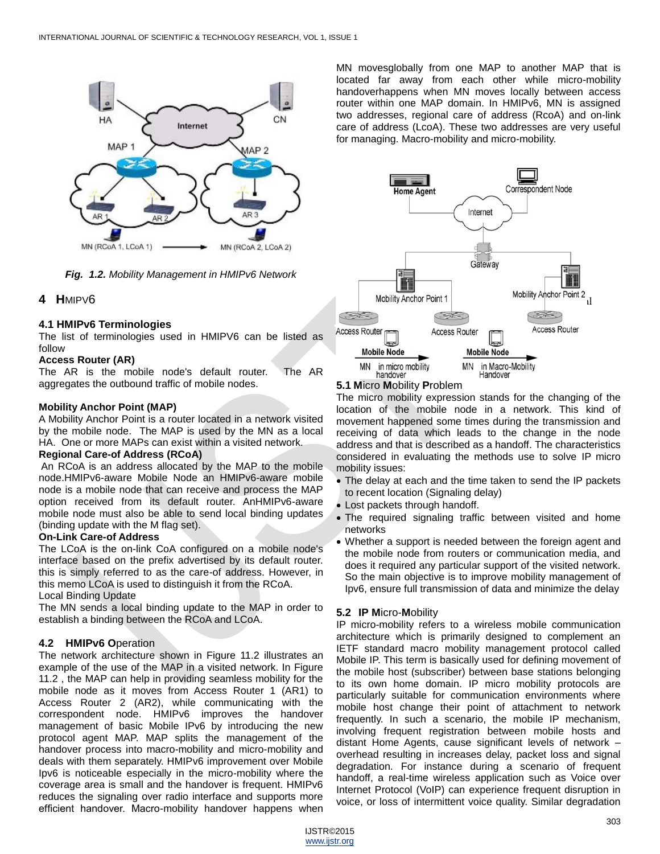

*Fig. 1.2. Mobility Management in HMIPv6 Network*

# **4 H**MIPV6

## **4.1 HMIPv6 Terminologies**

The list of terminologies used in HMIPV6 can be listed as follow

## **Access Router (AR)**

The AR is the mobile node's default router. The AR aggregates the outbound traffic of mobile nodes.

## **Mobility Anchor Point (MAP)**

A Mobility Anchor Point is a router located in a network visited by the mobile node. The MAP is used by the MN as a local HA. One or more MAPs can exist within a visited network.

## **Regional Care-of Address (RCoA)**

An RCoA is an address allocated by the MAP to the mobile node.HMIPv6-aware Mobile Node an HMIPv6-aware mobile node is a mobile node that can receive and process the MAP option received from its default router. AnHMIPv6-aware mobile node must also be able to send local binding updates (binding update with the M flag set).

## **On-Link Care-of Address**

The LCoA is the on-link CoA configured on a mobile node's interface based on the prefix advertised by its default router. this is simply referred to as the care-of address. However, in this memo LCoA is used to distinguish it from the RCoA. Local Binding Update

The MN sends a local binding update to the MAP in order to establish a binding between the RCoA and LCoA.

# **4.2 HMIPv6 O**peration

The network architecture shown in Figure 11.2 illustrates an example of the use of the MAP in a visited network. In Figure 11.2 , the MAP can help in providing seamless mobility for the mobile node as it moves from Access Router 1 (AR1) to Access Router 2 (AR2), while communicating with the correspondent node. HMIPv6 improves the handover management of basic Mobile IPv6 by introducing the new protocol agent MAP. MAP splits the management of the handover process into macro-mobility and micro-mobility and deals with them separately. HMIPv6 improvement over Mobile Ipv6 is noticeable especially in the micro-mobility where the coverage area is small and the handover is frequent. HMIPv6 reduces the signaling over radio interface and supports more efficient handover. Macro-mobility handover happens when

MN movesglobally from one MAP to another MAP that is located far away from each other while micro-mobility handoverhappens when MN moves locally between access router within one MAP domain. In HMIPv6, MN is assigned two addresses, regional care of address (RcoA) and on-link care of address (LcoA). These two addresses are very useful for managing. Macro-mobility and micro-mobility.



# **5.1 M**icro **M**obility **P**roblem

The micro mobility expression stands for the changing of the location of the mobile node in a network. This kind of movement happened some times during the transmission and receiving of data which leads to the change in the node address and that is described as a handoff. The characteristics considered in evaluating the methods use to solve IP micro mobility issues:

- The delay at each and the time taken to send the IP packets to recent location (Signaling delay)
- Lost packets through handoff.
- The required signaling traffic between visited and home networks
- Whether a support is needed between the foreign agent and the mobile node from routers or communication media, and does it required any particular support of the visited network. So the main objective is to improve mobility management of Ipv6, ensure full transmission of data and minimize the delay

# **5.2 IP M**icro-**M**obility

IP micro-mobility refers to a wireless mobile communication architecture which is primarily designed to complement an IETF standard macro mobility management protocol called Mobile IP. This term is basically used for defining movement of the mobile host (subscriber) between base stations belonging to its own home domain. IP micro mobility protocols are particularly suitable for communication environments where mobile host change their point of attachment to network frequently. In such a scenario, the mobile IP mechanism, involving frequent registration between mobile hosts and distant Home Agents, cause significant levels of network – overhead resulting in increases delay, packet loss and signal degradation. For instance during a scenario of frequent handoff, a real-time wireless application such as Voice over Internet Protocol (VoIP) can experience frequent disruption in voice, or loss of intermittent voice quality. Similar degradation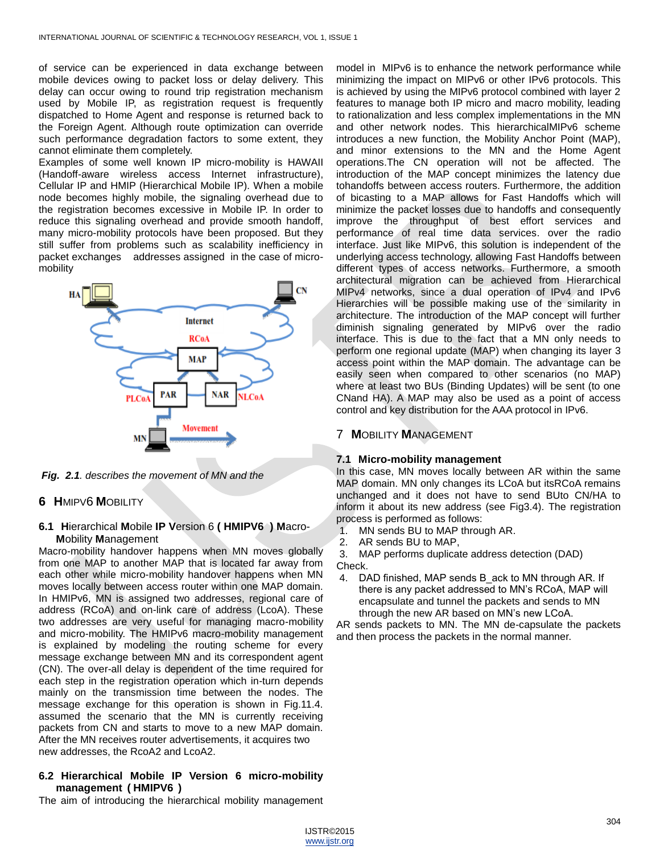of service can be experienced in data exchange between mobile devices owing to packet loss or delay delivery. This delay can occur owing to round trip registration mechanism used by Mobile IP, as registration request is frequently dispatched to Home Agent and response is returned back to the Foreign Agent. Although route optimization can override such performance degradation factors to some extent, they cannot eliminate them completely.

Examples of some well known IP micro-mobility is HAWAII (Handoff-aware wireless access Internet infrastructure), Cellular IP and HMIP (Hierarchical Mobile IP). When a mobile node becomes highly mobile, the signaling overhead due to the registration becomes excessive in Mobile IP. In order to reduce this signaling overhead and provide smooth handoff, many micro-mobility protocols have been proposed. But they still suffer from problems such as scalability inefficiency in packet exchanges addresses assigned in the case of micromobility



*Fig. 2.1. describes the movement of MN and the*

# **6 H**MIPV6 **M**OBILITY

## **6.1 H**ierarchical **M**obile **IP V**ersion 6 **( HMIPV6 ) M**acro-**M**obility **M**anagement

Macro-mobility handover happens when MN moves globally from one MAP to another MAP that is located far away from each other while micro-mobility handover happens when MN moves locally between access router within one MAP domain. In HMIPv6, MN is assigned two addresses, regional care of address (RCoA) and on-link care of address (LcoA). These two addresses are very useful for managing macro-mobility and micro-mobility. The HMIPv6 macro-mobility management is explained by modeling the routing scheme for every message exchange between MN and its correspondent agent (CN). The over-all delay is dependent of the time required for each step in the registration operation which in-turn depends mainly on the transmission time between the nodes. The message exchange for this operation is shown in Fig.11.4. assumed the scenario that the MN is currently receiving packets from CN and starts to move to a new MAP domain. After the MN receives router advertisements, it acquires two new addresses, the RcoA2 and LcoA2.

# **6.2 Hierarchical Mobile IP Version 6 micro-mobility management ( HMIPV6 )**

The aim of introducing the hierarchical mobility management

model in MIPv6 is to enhance the network performance while minimizing the impact on MIPv6 or other IPv6 protocols. This is achieved by using the MIPv6 protocol combined with layer 2 features to manage both IP micro and macro mobility, leading to rationalization and less complex implementations in the MN and other network nodes. This hierarchicalMIPv6 scheme introduces a new function, the Mobility Anchor Point (MAP), and minor extensions to the MN and the Home Agent operations.The CN operation will not be affected. The introduction of the MAP concept minimizes the latency due tohandoffs between access routers. Furthermore, the addition of bicasting to a MAP allows for Fast Handoffs which will minimize the packet losses due to handoffs and consequently improve the throughput of best effort services and performance of real time data services. over the radio interface. Just like MIPv6, this solution is independent of the underlying access technology, allowing Fast Handoffs between different types of access networks. Furthermore, a smooth architectural migration can be achieved from Hierarchical MIPv4 networks, since a dual operation of IPv4 and IPv6 Hierarchies will be possible making use of the similarity in architecture. The introduction of the MAP concept will further diminish signaling generated by MIPv6 over the radio interface. This is due to the fact that a MN only needs to perform one regional update (MAP) when changing its layer 3 access point within the MAP domain. The advantage can be easily seen when compared to other scenarios (no MAP) where at least two BUs (Binding Updates) will be sent (to one CNand HA). A MAP may also be used as a point of access control and key distribution for the AAA protocol in IPv6.

# 7 **M**OBILITY **M**ANAGEMENT

# **7.1 Micro-mobility management**

In this case, MN moves locally between AR within the same MAP domain. MN only changes its LCoA but itsRCoA remains unchanged and it does not have to send BUto CN/HA to inform it about its new address (see Fig3.4). The registration process is performed as follows:

- 1. MN sends BU to MAP through AR.
- 2. AR sends BU to MAP,

3. MAP performs duplicate address detection (DAD) Check.

4. DAD finished, MAP sends B\_ack to MN through AR. If there is any packet addressed to MN's RCoA, MAP will encapsulate and tunnel the packets and sends to MN through the new AR based on MN's new LCoA.

AR sends packets to MN. The MN de-capsulate the packets and then process the packets in the normal manner.

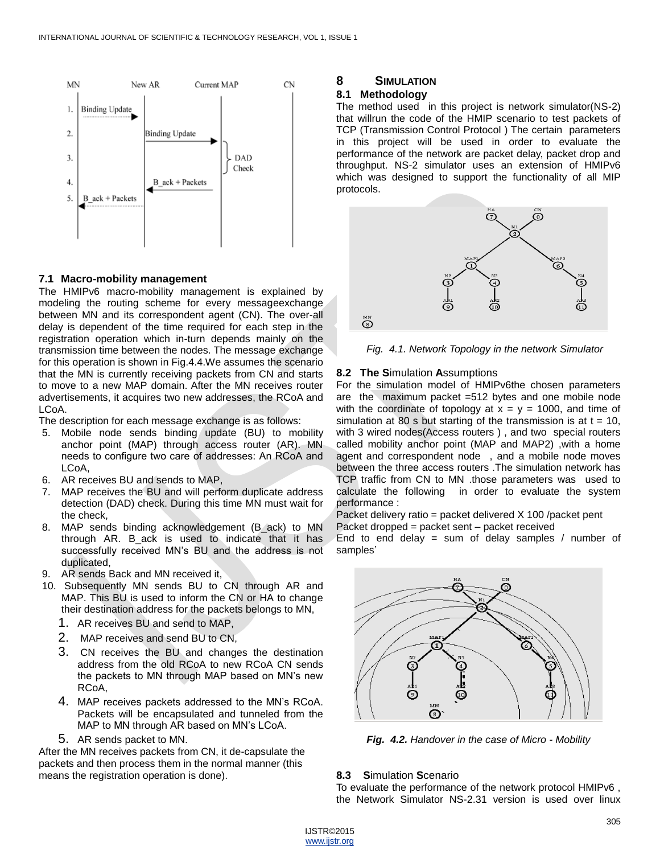

## **7.1 Macro-mobility management**

The HMIPv6 macro-mobility management is explained by modeling the routing scheme for every messageexchange between MN and its correspondent agent (CN). The over-all delay is dependent of the time required for each step in the registration operation which in-turn depends mainly on the transmission time between the nodes. The message exchange for this operation is shown in Fig.4.4.We assumes the scenario that the MN is currently receiving packets from CN and starts to move to a new MAP domain. After the MN receives router advertisements, it acquires two new addresses, the RCoA and LCoA.

The description for each message exchange is as follows:

- 5. Mobile node sends binding update (BU) to mobility anchor point (MAP) through access router (AR). MN needs to configure two care of addresses: An RCoA and LCoA,
- 6. AR receives BU and sends to MAP,
- 7. MAP receives the BU and will perform duplicate address detection (DAD) check. During this time MN must wait for the check,
- 8. MAP sends binding acknowledgement (B\_ack) to MN through AR. B\_ack is used to indicate that it has successfully received MN's BU and the address is not duplicated,
- 9. AR sends Back and MN received it,
- 10. Subsequently MN sends BU to CN through AR and MAP. This BU is used to inform the CN or HA to change their destination address for the packets belongs to MN,
	- 1. AR receives BU and send to MAP,
	- 2. MAP receives and send BU to CN,
	- 3. CN receives the BU and changes the destination address from the old RCoA to new RCoA CN sends the packets to MN through MAP based on MN's new RCoA,
	- 4. MAP receives packets addressed to the MN's RCoA. Packets will be encapsulated and tunneled from the MAP to MN through AR based on MN's LCoA.
	- 5. AR sends packet to MN.

After the MN receives packets from CN, it de-capsulate the packets and then process them in the normal manner (this means the registration operation is done).

# **8 SIMULATION**

## **8.1 Methodology**

The method used in this project is network simulator(NS-2) that willrun the code of the HMIP scenario to test packets of TCP (Transmission Control Protocol ) The certain parameters in this project will be used in order to evaluate the performance of the network are packet delay, packet drop and throughput. NS-2 simulator uses an extension of HMIPv6 which was designed to support the functionality of all MIP protocols.



*Fig. 4.1. Network Topology in the network Simulator*

## **8.2 The S**imulation **A**ssumptions

For the simulation model of HMIPv6the chosen parameters are the maximum packet =512 bytes and one mobile node with the coordinate of topology at  $x = y = 1000$ , and time of simulation at 80 s but starting of the transmission is at  $t = 10$ , with 3 wired nodes(Access routers ) , and two special routers called mobility anchor point (MAP and MAP2) ,with a home agent and correspondent node , and a mobile node moves between the three access routers .The simulation network has TCP traffic from CN to MN .those parameters was used to calculate the following in order to evaluate the system performance :

Packet delivery ratio = packet delivered X 100 /packet pent Packet dropped = packet sent – packet received

End to end delay = sum of delay samples / number of samples'



*Fig. 4.2. Handover in the case of Micro - Mobility*

## **8.3 S**imulation **S**cenario

To evaluate the performance of the network protocol HMIPv6 , the Network Simulator NS-2.31 version is used over linux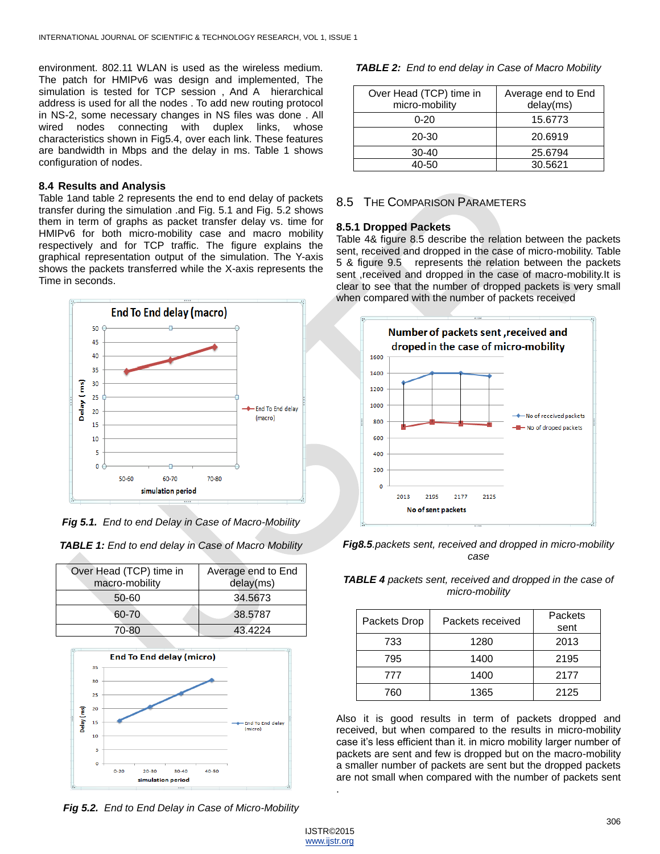environment. 802.11 WLAN is used as the wireless medium. The patch for HMIPv6 was design and implemented, The simulation is tested for TCP session , And A hierarchical address is used for all the nodes . To add new routing protocol in NS-2, some necessary changes in NS files was done . All wired nodes connecting with duplex links, whose characteristics shown in Fig5.4, over each link. These features are bandwidth in Mbps and the delay in ms. Table 1 shows configuration of nodes.

#### **8.4 Results and Analysis**

Table 1and table 2 represents the end to end delay of packets transfer during the simulation .and Fig. 5.1 and Fig. 5.2 shows them in term of graphs as packet transfer delay vs. time for HMIPv6 for both micro-mobility case and macro mobility respectively and for TCP traffic. The figure explains the graphical representation output of the simulation. The Y-axis shows the packets transferred while the X-axis represents the Time in seconds.



*Fig 5.1. End to end Delay in Case of Macro-Mobility*

| Over Head (TCP) time in<br>macro-mobility | Average end to End<br>delay(ms) |
|-------------------------------------------|---------------------------------|
| 50-60                                     | 34.5673                         |
| 60-70                                     | 38.5787                         |
| 70-80                                     | 43.4224                         |



*Fig 5.2. End to End Delay in Case of Micro-Mobility*

*TABLE 2: End to end delay in Case of Macro Mobility*

| Over Head (TCP) time in<br>micro-mobility | Average end to End<br>delay(ms) |
|-------------------------------------------|---------------------------------|
| $0 - 20$                                  | 15.6773                         |
| 20-30                                     | 20.6919                         |
| $30-40$                                   | 25.6794                         |
| 40-50                                     | 30.5621                         |

# 8.5 THE COMPARISON PARAMETERS

## **8.5.1 Dropped Packets**

Table 4& figure 8.5 describe the relation between the packets sent, received and dropped in the case of micro-mobility. Table 5 & figure 9.5 represents the relation between the packets sent , received and dropped in the case of macro-mobility. It is clear to see that the number of dropped packets is very small when compared with the number of packets received



*Fig8.5.packets sent, received and dropped in micro-mobility case*

| <b>TABLE 4</b> packets sent, received and dropped in the case of |
|------------------------------------------------------------------|
| micro-mobility                                                   |

| Packets Drop | Packets received | Packets<br>sent |
|--------------|------------------|-----------------|
| 733          | 1280             | 2013            |
| 795          | 1400             | 2195            |
| 777          | 1400             | 2177            |
| 760          | 1365             | 2125            |

Also it is good results in term of packets dropped and received, but when compared to the results in micro-mobility case it's less efficient than it. in micro mobility larger number of packets are sent and few is dropped but on the macro-mobility a smaller number of packets are sent but the dropped packets are not small when compared with the number of packets sent .

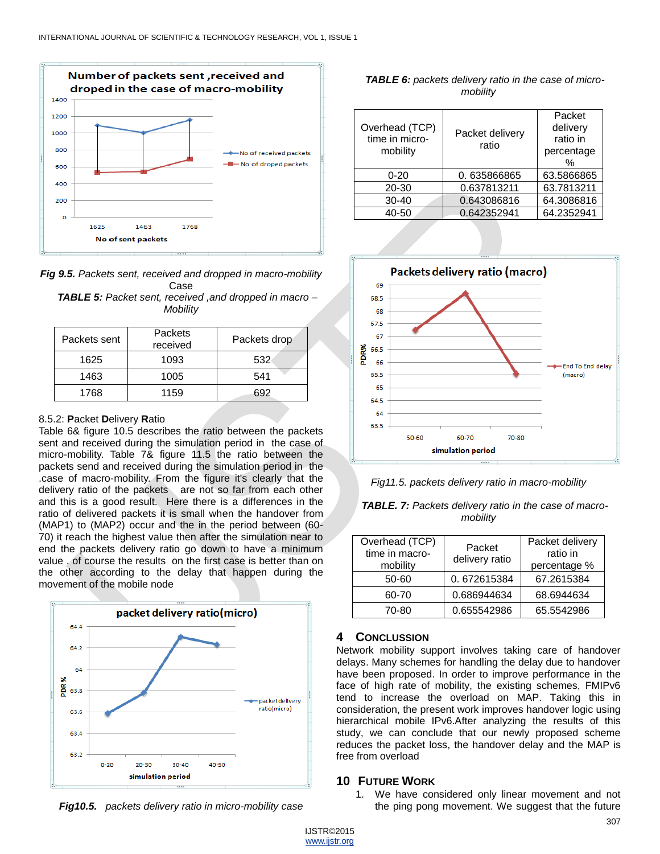

*Fig 9.5. Packets sent, received and dropped in macro-mobility* Case *TABLE 5: Packet sent, received, and dropped in mac* 

| Mobility | <b>IADLE 3:</b> Packet sent, received ,and dropped in macro – |  |
|----------|---------------------------------------------------------------|--|
|          |                                                               |  |

| Packets sent | Packets<br>received | Packets drop |
|--------------|---------------------|--------------|
| 1625         | 1093                | 532          |
| 1463         | 1005                | 541          |
| 1768         | 1159                | 692          |

## 8.5.2: **P**acket **D**elivery **R**atio

Table 6& figure 10.5 describes the ratio between the packets sent and received during the simulation period in the case of micro-mobility. Table 7& figure 11.5 the ratio between the packets send and received during the simulation period in the .case of macro-mobility. From the figure it's clearly that the delivery ratio of the packets are not so far from each other and this is a good result. Here there is a differences in the ratio of delivered packets it is small when the handover from (MAP1) to (MAP2) occur and the in the period between (60- 70) it reach the highest value then after the simulation near to end the packets delivery ratio go down to have a minimum value . of course the results on the first case is better than on the other according to the delay that happen during the movement of the mobile node



*Fig10.5. packets delivery ratio in micro-mobility case*

| <b>TABLE 6:</b> packets delivery ratio in the case of micro- |
|--------------------------------------------------------------|
| mobility                                                     |

| Overhead (TCP)<br>time in micro-<br>mobility | Packet delivery<br>ratio | Packet<br>delivery<br>ratio in<br>percentage<br>$\%$ |
|----------------------------------------------|--------------------------|------------------------------------------------------|
| $0 - 20$                                     | 0.635866865              | 63.5866865                                           |
| $20 - 30$                                    | 0.637813211              | 63.7813211                                           |
| $30 - 40$                                    | 0.643086816              | 64.3086816                                           |
| 40-50                                        | 0.642352941              | 64.2352941                                           |





| TABLE. 7: Packets delivery ratio in the case of macro- |
|--------------------------------------------------------|
| mobility                                               |

| Overhead (TCP)<br>time in macro-<br>mobility | Packet<br>delivery ratio | Packet delivery<br>ratio in<br>percentage % |
|----------------------------------------------|--------------------------|---------------------------------------------|
| 50-60                                        | 0.672615384              | 67.2615384                                  |
| 60-70                                        | 0.686944634              | 68.6944634                                  |
| 70-80                                        | 0.655542986              | 65.5542986                                  |

## **4 CONCLUSSION**

Network mobility support involves taking care of handover delays. Many schemes for handling the delay due to handover have been proposed. In order to improve performance in the face of high rate of mobility, the existing schemes, FMIPv6 tend to increase the overload on MAP. Taking this in consideration, the present work improves handover logic using hierarchical mobile IPv6.After analyzing the results of this study, we can conclude that our newly proposed scheme reduces the packet loss, the handover delay and the MAP is free from overload

## **10 FUTURE WORK**

1. We have considered only linear movement and not the ping pong movement. We suggest that the future